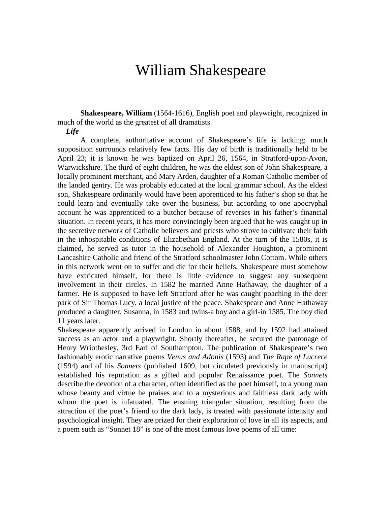# William Shakespeare

**Shakespeare, William** (1564-1616), English poet and playwright, recognized in much of the world as the greatest of all dramatists.

# *Life*

A complete, authoritative account of Shakespeare's life is lacking; much supposition surrounds relatively few facts. His day of birth is traditionally held to be April 23; it is known he was baptized on April 26, 1564, in Stratford-upon-Avon, Warwickshire. The third of eight children, he was the eldest son of John Shakespeare, a locally prominent merchant, and Mary Arden, daughter of a Roman Catholic member of the landed gentry. He was probably educated at the local grammar school. As the eldest son, Shakespeare ordinarily would have been apprenticed to his father's shop so that he could learn and eventually take over the business, but according to one apocryphal account he was apprenticed to a butcher because of reverses in his father's financial situation. In recent years, it has more convincingly been argued that he was caught up in the secretive network of Catholic believers and priests who strove to cultivate their faith in the inhospitable conditions of Elizabethan England. At the turn of the 1580s, it is claimed, he served as tutor in the household of Alexander Houghton, a prominent Lancashire Catholic and friend of the Stratford schoolmaster John Cottom. While others in this network went on to suffer and die for their beliefs, Shakespeare must somehow have extricated himself, for there is little evidence to suggest any subsequent involvement in their circles. In 1582 he married Anne Hathaway, the daughter of a farmer. He is supposed to have left Stratford after he was caught poaching in the deer park of Sir Thomas Lucy, a local justice of the peace. Shakespeare and Anne Hathaway produced a daughter, Susanna, in 1583 and twins-a boy and a girl-in 1585. The boy died 11 years later.

Shakespeare apparently arrived in London in about 1588, and by 1592 had attained success as an actor and a playwright. Shortly thereafter, he secured the patronage of Henry Wriothesley, 3rd Earl of Southampton. The publication of Shakespeare's two fashionably erotic narrative poems *Venus and Adonis* (1593) and *The Rape of Lucrece* (1594) and of his *Sonnets* (published 1609, but circulated previously in manuscript) established his reputation as a gifted and popular Renaissance poet. The *Sonnets* describe the devotion of a character, often identified as the poet himself, to a young man whose beauty and virtue he praises and to a mysterious and faithless dark lady with whom the poet is infatuated. The ensuing triangular situation, resulting from the attraction of the poet's friend to the dark lady, is treated with passionate intensity and psychological insight. They are prized for their exploration of love in all its aspects, and a poem such as "Sonnet 18" is one of the most famous love poems of all time: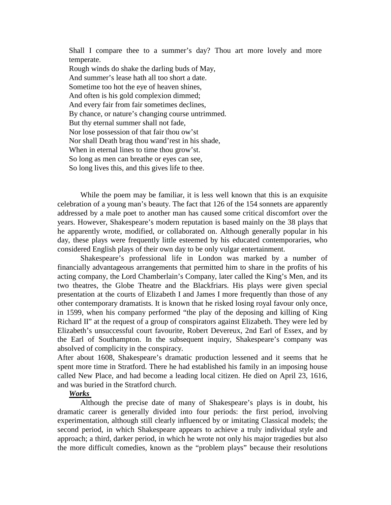Shall I compare thee to a summer's day? Thou art more lovely and more temperate.

Rough winds do shake the darling buds of May, And summer's lease hath all too short a date. Sometime too hot the eye of heaven shines, And often is his gold complexion dimmed; And every fair from fair sometimes declines, By chance, or nature's changing course untrimmed. But thy eternal summer shall not fade, Nor lose possession of that fair thou ow'st Nor shall Death brag thou wand'rest in his shade, When in eternal lines to time thou grow'st. So long as men can breathe or eyes can see, So long lives this, and this gives life to thee.

While the poem may be familiar, it is less well known that this is an exquisite celebration of a young man's beauty. The fact that 126 of the 154 sonnets are apparently addressed by a male poet to another man has caused some critical discomfort over the years. However, Shakespeare's modern reputation is based mainly on the 38 plays that he apparently wrote, modified, or collaborated on. Although generally popular in his day, these plays were frequently little esteemed by his educated contemporaries, who considered English plays of their own day to be only vulgar entertainment.

Shakespeare's professional life in London was marked by a number of financially advantageous arrangements that permitted him to share in the profits of his acting company, the Lord Chamberlain's Company, later called the King's Men, and its two theatres, the Globe Theatre and the Blackfriars. His plays were given special presentation at the courts of Elizabeth I and James I more frequently than those of any other contemporary dramatists. It is known that he risked losing royal favour only once, in 1599, when his company performed "the play of the deposing and killing of King Richard II" at the request of a group of conspirators against Elizabeth. They were led by Elizabeth's unsuccessful court favourite, Robert Devereux, 2nd Earl of Essex, and by the Earl of Southampton. In the subsequent inquiry, Shakespeare's company was absolved of complicity in the conspiracy.

After about 1608, Shakespeare's dramatic production lessened and it seems that he spent more time in Stratford. There he had established his family in an imposing house called New Place, and had become a leading local citizen. He died on April 23, 1616, and was buried in the Stratford church.

## *Works*

Although the precise date of many of Shakespeare's plays is in doubt, his dramatic career is generally divided into four periods: the first period, involving experimentation, although still clearly influenced by or imitating Classical models; the second period, in which Shakespeare appears to achieve a truly individual style and approach; a third, darker period, in which he wrote not only his major tragedies but also the more difficult comedies, known as the "problem plays" because their resolutions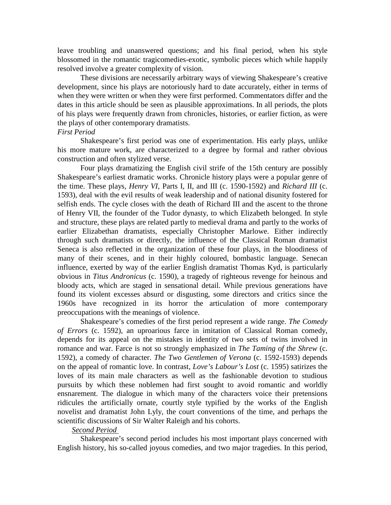leave troubling and unanswered questions; and his final period, when his style blossomed in the romantic tragicomedies-exotic, symbolic pieces which while happily resolved involve a greater complexity of vision.

These divisions are necessarily arbitrary ways of viewing Shakespeare's creative development, since his plays are notoriously hard to date accurately, either in terms of when they were written or when they were first performed. Commentators differ and the dates in this article should be seen as plausible approximations. In all periods, the plots of his plays were frequently drawn from chronicles, histories, or earlier fiction, as were the plays of other contemporary dramatists.

#### *First Period*

Shakespeare's first period was one of experimentation. His early plays, unlike his more mature work, are characterized to a degree by formal and rather obvious construction and often stylized verse.

Four plays dramatizing the English civil strife of the 15th century are possibly Shakespeare's earliest dramatic works. Chronicle history plays were a popular genre of the time. These plays, *Henry VI,* Parts I, II, and III (c. 1590-1592) and *Richard III* (c. 1593), deal with the evil results of weak leadership and of national disunity fostered for selfish ends. The cycle closes with the death of Richard III and the ascent to the throne of Henry VII, the founder of the Tudor dynasty, to which Elizabeth belonged. In style and structure, these plays are related partly to medieval drama and partly to the works of earlier Elizabethan dramatists, especially Christopher Marlowe. Either indirectly through such dramatists or directly, the influence of the Classical Roman dramatist Seneca is also reflected in the organization of these four plays, in the bloodiness of many of their scenes, and in their highly coloured, bombastic language. Senecan influence, exerted by way of the earlier English dramatist Thomas Kyd, is particularly obvious in *Titus Andronicus* (c. 1590), a tragedy of righteous revenge for heinous and bloody acts, which are staged in sensational detail. While previous generations have found its violent excesses absurd or disgusting, some directors and critics since the 1960s have recognized in its horror the articulation of more contemporary preoccupations with the meanings of violence.

Shakespeare's comedies of the first period represent a wide range. *The Comedy of Errors* (c. 1592), an uproarious farce in imitation of Classical Roman comedy, depends for its appeal on the mistakes in identity of two sets of twins involved in romance and war. Farce is not so strongly emphasized in *The Taming of the Shrew* (c. 1592), a comedy of character. *The Two Gentlemen of Verona* (c. 1592-1593) depends on the appeal of romantic love. In contrast, *Love's Labour's Lost* (c. 1595) satirizes the loves of its main male characters as well as the fashionable devotion to studious pursuits by which these noblemen had first sought to avoid romantic and worldly ensnarement. The dialogue in which many of the characters voice their pretensions ridicules the artificially ornate, courtly style typified by the works of the English novelist and dramatist John Lyly, the court conventions of the time, and perhaps the scientific discussions of Sir Walter Raleigh and his cohorts.

#### *Second Period*

Shakespeare's second period includes his most important plays concerned with English history, his so-called joyous comedies, and two major tragedies. In this period,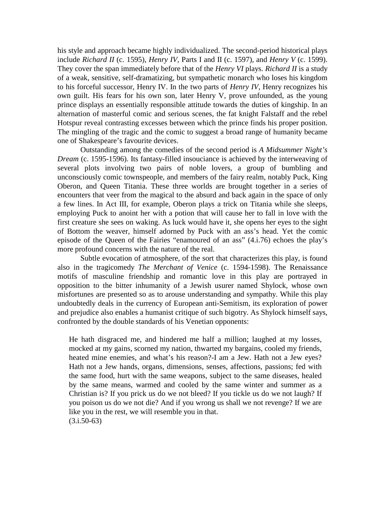his style and approach became highly individualized. The second-period historical plays include *Richard II* (c. 1595), *Henry IV,* Parts I and II (c. 1597), and *Henry V* (c. 1599). They cover the span immediately before that of the *Henry VI* plays. *Richard II* is a study of a weak, sensitive, self-dramatizing, but sympathetic monarch who loses his kingdom to his forceful successor, Henry IV. In the two parts of *Henry IV,* Henry recognizes his own guilt. His fears for his own son, later Henry V, prove unfounded, as the young prince displays an essentially responsible attitude towards the duties of kingship. In an alternation of masterful comic and serious scenes, the fat knight Falstaff and the rebel Hotspur reveal contrasting excesses between which the prince finds his proper position. The mingling of the tragic and the comic to suggest a broad range of humanity became one of Shakespeare's favourite devices.

Outstanding among the comedies of the second period is *A Midsummer Night's Dream* (c. 1595-1596). Its fantasy-filled insouciance is achieved by the interweaving of several plots involving two pairs of noble lovers, a group of bumbling and unconsciously comic townspeople, and members of the fairy realm, notably Puck, King Oberon, and Queen Titania. These three worlds are brought together in a series of encounters that veer from the magical to the absurd and back again in the space of only a few lines. In Act III, for example, Oberon plays a trick on Titania while she sleeps, employing Puck to anoint her with a potion that will cause her to fall in love with the first creature she sees on waking. As luck would have it, she opens her eyes to the sight of Bottom the weaver, himself adorned by Puck with an ass's head. Yet the comic episode of the Queen of the Fairies "enamoured of an ass" (4.i.76) echoes the play's more profound concerns with the nature of the real.

Subtle evocation of atmosphere, of the sort that characterizes this play, is found also in the tragicomedy *The Merchant of Venice* (c. 1594-1598). The Renaissance motifs of masculine friendship and romantic love in this play are portrayed in opposition to the bitter inhumanity of a Jewish usurer named Shylock, whose own misfortunes are presented so as to arouse understanding and sympathy. While this play undoubtedly deals in the currency of European anti-Semitism, its exploration of power and prejudice also enables a humanist critique of such bigotry. As Shylock himself says, confronted by the double standards of his Venetian opponents:

He hath disgraced me, and hindered me half a million; laughed at my losses, mocked at my gains, scorned my nation, thwarted my bargains, cooled my friends, heated mine enemies, and what's his reason?-I am a Jew. Hath not a Jew eyes? Hath not a Jew hands, organs, dimensions, senses, affections, passions; fed with the same food, hurt with the same weapons, subject to the same diseases, healed by the same means, warmed and cooled by the same winter and summer as a Christian is? If you prick us do we not bleed? If you tickle us do we not laugh? If you poison us do we not die? And if you wrong us shall we not revenge? If we are like you in the rest, we will resemble you in that. (3.i.50-63)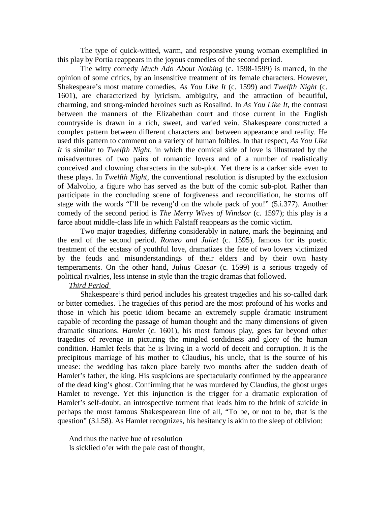The type of quick-witted, warm, and responsive young woman exemplified in this play by Portia reappears in the joyous comedies of the second period.

The witty comedy *Much Ado About Nothing* (c. 1598-1599) is marred, in the opinion of some critics, by an insensitive treatment of its female characters. However, Shakespeare's most mature comedies, *As You Like It* (c. 1599) and *Twelfth Night* (c. 1601), are characterized by lyricism, ambiguity, and the attraction of beautiful, charming, and strong-minded heroines such as Rosalind. In *As You Like It,* the contrast between the manners of the Elizabethan court and those current in the English countryside is drawn in a rich, sweet, and varied vein. Shakespeare constructed a complex pattern between different characters and between appearance and reality. He used this pattern to comment on a variety of human foibles. In that respect, *As You Like It* is similar to *Twelfth Night,* in which the comical side of love is illustrated by the misadventures of two pairs of romantic lovers and of a number of realistically conceived and clowning characters in the sub-plot. Yet there is a darker side even to these plays. In *Twelfth Night,* the conventional resolution is disrupted by the exclusion of Malvolio, a figure who has served as the butt of the comic sub-plot. Rather than participate in the concluding scene of forgiveness and reconciliation, he storms off stage with the words "I'll be reveng'd on the whole pack of you!" (5.i.377). Another comedy of the second period is *The Merry Wives of Windsor* (c. 1597); this play is a farce about middle-class life in which Falstaff reappears as the comic victim.

Two major tragedies, differing considerably in nature, mark the beginning and the end of the second period. *Romeo and Juliet* (c. 1595), famous for its poetic treatment of the ecstasy of youthful love, dramatizes the fate of two lovers victimized by the feuds and misunderstandings of their elders and by their own hasty temperaments. On the other hand, *Julius Caesar* (c. 1599) is a serious tragedy of political rivalries, less intense in style than the tragic dramas that followed.

## *Third Period*

Shakespeare's third period includes his greatest tragedies and his so-called dark or bitter comedies. The tragedies of this period are the most profound of his works and those in which his poetic idiom became an extremely supple dramatic instrument capable of recording the passage of human thought and the many dimensions of given dramatic situations. *Hamlet* (c. 1601), his most famous play, goes far beyond other tragedies of revenge in picturing the mingled sordidness and glory of the human condition. Hamlet feels that he is living in a world of deceit and corruption. It is the precipitous marriage of his mother to Claudius, his uncle, that is the source of his unease: the wedding has taken place barely two months after the sudden death of Hamlet's father, the king. His suspicions are spectacularly confirmed by the appearance of the dead king's ghost. Confirming that he was murdered by Claudius, the ghost urges Hamlet to revenge. Yet this injunction is the trigger for a dramatic exploration of Hamlet's self-doubt, an introspective torment that leads him to the brink of suicide in perhaps the most famous Shakespearean line of all, "To be, or not to be, that is the question" (3.i.58). As Hamlet recognizes, his hesitancy is akin to the sleep of oblivion:

And thus the native hue of resolution

Is sicklied o'er with the pale cast of thought,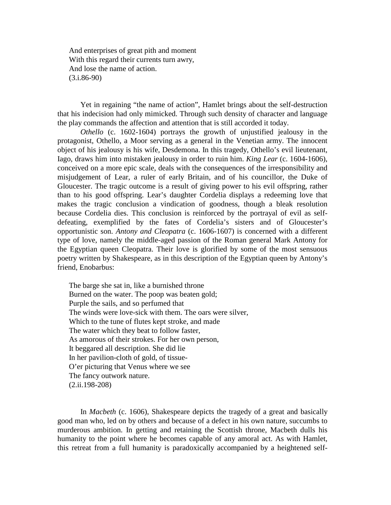And enterprises of great pith and moment With this regard their currents turn awry, And lose the name of action.  $(3.1.86-90)$ 

Yet in regaining "the name of action", Hamlet brings about the self-destruction that his indecision had only mimicked. Through such density of character and language the play commands the affection and attention that is still accorded it today.

*Othello* (c. 1602-1604) portrays the growth of unjustified jealousy in the protagonist, Othello, a Moor serving as a general in the Venetian army. The innocent object of his jealousy is his wife, Desdemona. In this tragedy, Othello's evil lieutenant, Iago, draws him into mistaken jealousy in order to ruin him. *King Lear* (c. 1604-1606), conceived on a more epic scale, deals with the consequences of the irresponsibility and misjudgement of Lear, a ruler of early Britain, and of his councillor, the Duke of Gloucester. The tragic outcome is a result of giving power to his evil offspring, rather than to his good offspring. Lear's daughter Cordelia displays a redeeming love that makes the tragic conclusion a vindication of goodness, though a bleak resolution because Cordelia dies. This conclusion is reinforced by the portrayal of evil as selfdefeating, exemplified by the fates of Cordelia's sisters and of Gloucester's opportunistic son. *Antony and Cleopatra* (c. 1606-1607) is concerned with a different type of love, namely the middle-aged passion of the Roman general Mark Antony for the Egyptian queen Cleopatra. Their love is glorified by some of the most sensuous poetry written by Shakespeare, as in this description of the Egyptian queen by Antony's friend, Enobarbus:

The barge she sat in, like a burnished throne Burned on the water. The poop was beaten gold; Purple the sails, and so perfumed that The winds were love-sick with them. The oars were silver, Which to the tune of flutes kept stroke, and made The water which they beat to follow faster, As amorous of their strokes. For her own person, It beggared all description. She did lie In her pavilion-cloth of gold, of tissue-O'er picturing that Venus where we see The fancy outwork nature. (2.ii.198-208)

In *Macbeth* (c. 1606), Shakespeare depicts the tragedy of a great and basically good man who, led on by others and because of a defect in his own nature, succumbs to murderous ambition. In getting and retaining the Scottish throne, Macbeth dulls his humanity to the point where he becomes capable of any amoral act. As with Hamlet, this retreat from a full humanity is paradoxically accompanied by a heightened self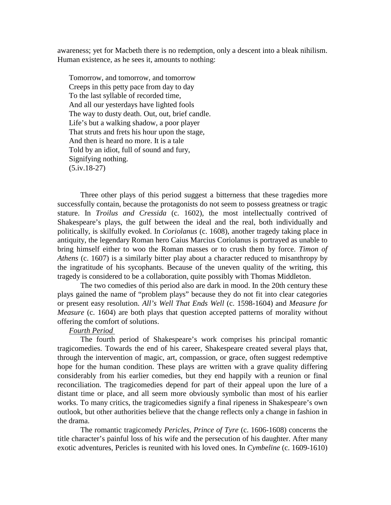awareness; yet for Macbeth there is no redemption, only a descent into a bleak nihilism. Human existence, as he sees it, amounts to nothing:

Tomorrow, and tomorrow, and tomorrow Creeps in this petty pace from day to day To the last syllable of recorded time, And all our yesterdays have lighted fools The way to dusty death. Out, out, brief candle. Life's but a walking shadow, a poor player That struts and frets his hour upon the stage, And then is heard no more. It is a tale Told by an idiot, full of sound and fury, Signifying nothing. (5.iv.18-27)

Three other plays of this period suggest a bitterness that these tragedies more successfully contain, because the protagonists do not seem to possess greatness or tragic stature. In *Troilus and Cressida* (c. 1602), the most intellectually contrived of Shakespeare's plays, the gulf between the ideal and the real, both individually and politically, is skilfully evoked. In *Coriolanus* (c. 1608), another tragedy taking place in antiquity, the legendary Roman hero Caius Marcius Coriolanus is portrayed as unable to bring himself either to woo the Roman masses or to crush them by force. *Timon of Athens* (c. 1607) is a similarly bitter play about a character reduced to misanthropy by the ingratitude of his sycophants. Because of the uneven quality of the writing, this tragedy is considered to be a collaboration, quite possibly with Thomas Middleton.

The two comedies of this period also are dark in mood. In the 20th century these plays gained the name of "problem plays" because they do not fit into clear categories or present easy resolution. *All's Well That Ends Well* (c. 1598-1604) and *Measure for Measure* (c. 1604) are both plays that question accepted patterns of morality without offering the comfort of solutions.

#### *Fourth Period*

The fourth period of Shakespeare's work comprises his principal romantic tragicomedies. Towards the end of his career, Shakespeare created several plays that, through the intervention of magic, art, compassion, or grace, often suggest redemptive hope for the human condition. These plays are written with a grave quality differing considerably from his earlier comedies, but they end happily with a reunion or final reconciliation. The tragicomedies depend for part of their appeal upon the lure of a distant time or place, and all seem more obviously symbolic than most of his earlier works. To many critics, the tragicomedies signify a final ripeness in Shakespeare's own outlook, but other authorities believe that the change reflects only a change in fashion in the drama.

The romantic tragicomedy *Pericles, Prince of Tyre* (c. 1606-1608) concerns the title character's painful loss of his wife and the persecution of his daughter. After many exotic adventures, Pericles is reunited with his loved ones. In *Cymbeline* (c. 1609-1610)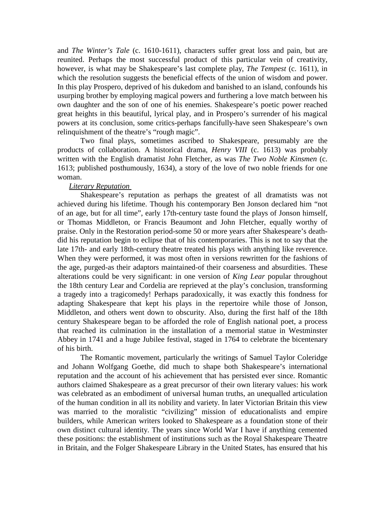and *The Winter's Tale* (c. 1610-1611), characters suffer great loss and pain, but are reunited. Perhaps the most successful product of this particular vein of creativity, however, is what may be Shakespeare's last complete play, *The Tempest* (c. 1611), in which the resolution suggests the beneficial effects of the union of wisdom and power. In this play Prospero, deprived of his dukedom and banished to an island, confounds his usurping brother by employing magical powers and furthering a love match between his own daughter and the son of one of his enemies. Shakespeare's poetic power reached great heights in this beautiful, lyrical play, and in Prospero's surrender of his magical powers at its conclusion, some critics-perhaps fancifully-have seen Shakespeare's own relinquishment of the theatre's "rough magic".

Two final plays, sometimes ascribed to Shakespeare, presumably are the products of collaboration. A historical drama, *Henry VIII* (c. 1613) was probably written with the English dramatist John Fletcher, as was *The Two Noble Kinsmen* (c. 1613; published posthumously, 1634), a story of the love of two noble friends for one woman.

### *Literary Reputation*

Shakespeare's reputation as perhaps the greatest of all dramatists was not achieved during his lifetime. Though his contemporary Ben Jonson declared him "not of an age, but for all time", early 17th-century taste found the plays of Jonson himself, or Thomas Middleton, or Francis Beaumont and John Fletcher, equally worthy of praise. Only in the Restoration period-some 50 or more years after Shakespeare's deathdid his reputation begin to eclipse that of his contemporaries. This is not to say that the late 17th- and early 18th-century theatre treated his plays with anything like reverence. When they were performed, it was most often in versions rewritten for the fashions of the age, purged-as their adaptors maintained-of their coarseness and absurdities. These alterations could be very significant: in one version of *King Lear* popular throughout the 18th century Lear and Cordelia are reprieved at the play's conclusion, transforming a tragedy into a tragicomedy! Perhaps paradoxically, it was exactly this fondness for adapting Shakespeare that kept his plays in the repertoire while those of Jonson, Middleton, and others went down to obscurity. Also, during the first half of the 18th century Shakespeare began to be afforded the role of English national poet, a process that reached its culmination in the installation of a memorial statue in Westminster Abbey in 1741 and a huge Jubilee festival, staged in 1764 to celebrate the bicentenary of his birth.

The Romantic movement, particularly the writings of Samuel Taylor Coleridge and Johann Wolfgang Goethe, did much to shape both Shakespeare's international reputation and the account of his achievement that has persisted ever since. Romantic authors claimed Shakespeare as a great precursor of their own literary values: his work was celebrated as an embodiment of universal human truths, an unequalled articulation of the human condition in all its nobility and variety. In later Victorian Britain this view was married to the moralistic "civilizing" mission of educationalists and empire builders, while American writers looked to Shakespeare as a foundation stone of their own distinct cultural identity. The years since World War I have if anything cemented these positions: the establishment of institutions such as the Royal Shakespeare Theatre in Britain, and the Folger Shakespeare Library in the United States, has ensured that his